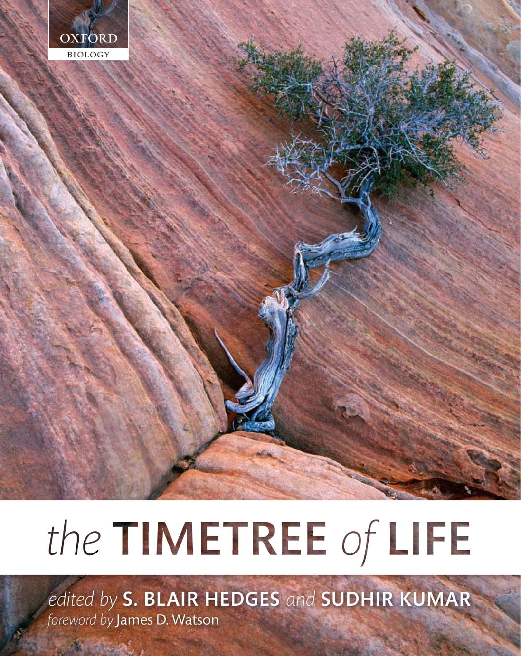

# the TIMETREE of LIFE

edited by S. BLAIR HEDGES and SUDHIR KUMAR foreword by James D. Watson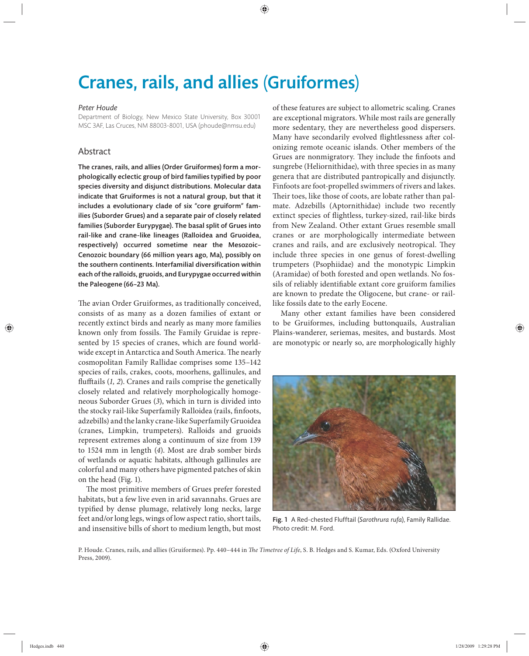## Cranes, rails, and allies (Gruiformes)

#### *Peter Houde*

Department of Biology, New Mexico State University, Box 30001 MSC 3AF, Las Cruces, NM 88003-8001, USA (phoude@nmsu.edu)

### Abstract

The cranes, rails, and allies (Order Gruiformes) form a morphologically eclectic group of bird families typified by poor species diversity and disjunct distributions. Molecular data indicate that Gruiformes is not a natural group, but that it includes a evolutionary clade of six "core gruiform" families (Suborder Grues) and a separate pair of closely related families (Suborder Eurypygae). The basal split of Grues into rail-like and crane-like lineages (Ralloidea and Gruoidea, respectively) occurred sometime near the Mesozoic– Cenozoic boundary (66 million years ago, Ma), possibly on the southern continents. Interfamilial diversification within each of the ralloids, gruoids, and Eurypygae occurred within the Paleogene (66–23 Ma).

The avian Order Gruiformes, as traditionally conceived, consists of as many as a dozen families of extant or recently extinct birds and nearly as many more families known only from fossils. The Family Gruidae is represented by 15 species of cranes, which are found worldwide except in Antarctica and South America. The nearly cosmopolitan Family Rallidae comprises some 135–142 species of rails, crakes, coots, moorhens, gallinules, and flufftails (1, 2). Cranes and rails comprise the genetically closely related and relatively morphologically homogeneous Suborder Grues (*3*), which in turn is divided into the stocky rail-like Superfamily Ralloidea (rails, finfoots, adzebills) and the lanky crane-like Superfamily Gruoidea (cranes, Limpkin, trumpeters). Ralloids and gruoids represent extremes along a continuum of size from 139 to 1524 mm in length (*4*). Most are drab somber birds of wetlands or aquatic habitats, although gallinules are colorful and many others have pigmented patches of skin on the head (Fig. 1).

The most primitive members of Grues prefer forested habitats, but a few live even in arid savannahs. Grues are typified by dense plumage, relatively long necks, large feet and/or long legs, wings of low aspect ratio, short tails, and insensitive bills of short to medium length, but most

of these features are subject to allometric scaling. Cranes are exceptional migrators. While most rails are generally more sedentary, they are nevertheless good dispersers. Many have secondarily evolved flightlessness after colonizing remote oceanic islands. Other members of the Grues are nonmigratory. They include the finfoots and sungrebe (Heliornithidae), with three species in as many genera that are distributed pantropically and disjunctly. Finfoots are foot-propelled swimmers of rivers and lakes. Their toes, like those of coots, are lobate rather than palmate. Adzebills (Aptornithidae) include two recently extinct species of flightless, turkey-sized, rail-like birds from New Zealand. Other extant Grues resemble small cranes or are morphologically intermediate between cranes and rails, and are exclusively neotropical. They include three species in one genus of forest-dwelling tru mpeters (Psophiidae) and the monotypic Limpkin (Aramidae) of both forested and open wetlands. No fossils of reliably identifiable extant core gruiform families are known to predate the Oligocene, but crane- or raillike fossils date to the early Eocene.

Many other extant families have been considered to be Gruiformes, including buttonquails, Australian Plains-wanderer, seriemas, mesites, and bustards. Most are monotypic or nearly so, are morphologically highly



Fig. 1 A Red-chested Flufftail (*Sarothrura rufa*), Family Rallidae. Photo credit: M. Ford.

P. Houde. Cranes, rails, and allies (Gruiformes). Pp. 440-444 in *The Timetree of Life*, S. B. Hedges and S. Kumar, Eds. (Oxford University Press, 2009).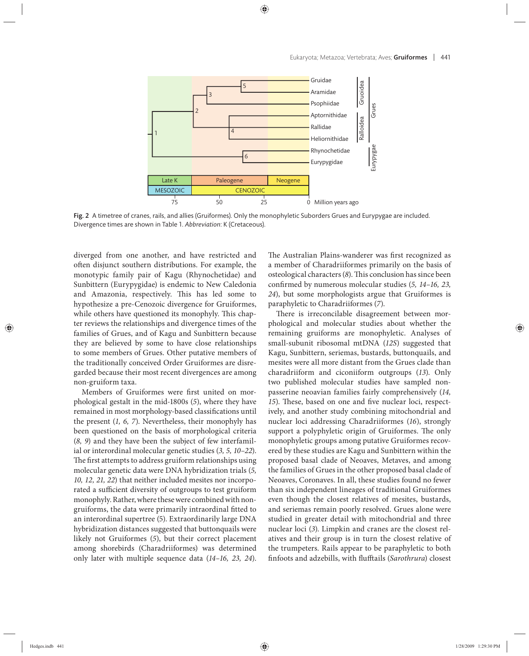

Fig. 2 A timetree of cranes, rails, and allies (Gruiformes). Only the monophyletic Suborders Grues and Eurypygae are included. Divergence times are shown in Table 1. *Abbreviation*: K (Cretaceous).

diverged from one another, and have restricted and often disjunct southern distributions. For example, the monotypic family pair of Kagu (Rhynochetidae) and Sunbittern (Eurypygidae) is endemic to New Caledonia and Amazonia, respectively. This has led some to hypothesize a pre-Cenozoic divergence for Gruiformes, while others have questioned its monophyly. This chapter reviews the relationships and divergence times of the families of Grues, and of Kagu and Sunbittern because they are believed by some to have close relationships to some members of Grues. Other putative members of the traditionally conceived Order Gruiformes are disregarded because their most recent divergences are among non-gruiform taxa.

Members of Gruiformes were first united on morphological gestalt in the mid-1800s (*5*), where they have remained in most morphology-based classifications until the present (*1, 6, 7*). Nevertheless, their monophyly has been questioned on the basis of morphological criteria (*8, 9*) and they have been the subject of few interfamilial or interordinal molecular genetic studies (*3, 5, 10–22*). The first attempts to address gruiform relationships using molecular genetic data were DNA hybridization trials (*5, 10, 12, 21, 22*) that neither included mesites nor incorporated a sufficient diversity of outgroups to test gruiform monophyly. Rather, where these were combined with non gruiforms, the data were primarily intraordinal fitted to an interordinal supertree (5). Extraordinarily large DNA hybridization distances suggested that buttonquails were likely not Gruiformes (*5*), but their correct placement among shorebirds (Charadriiformes) was determined only later with multiple sequence data (14–16, 23, 24).

The Australian Plains-wanderer was first recognized as a member of Charadriiformes primarily on the basis of osteological characters (8). This conclusion has since been confirmed by numerous molecular studies (5, 14–16, 23, 24), but some morphologists argue that Gruiformes is paraphyletic to Charadriiformes (*7*).

There is irreconcilable disagreement between morphological and molecular studies about whether the remaining gruiforms are monophyletic. Analyses of small-subunit ribosomal mtDNA (*12S*) suggested that Kagu, Sunbittern, seriemas, bustards, buttonquails, and mesites were all more distant from the Grues clade than charadriiform and ciconiiform outgroups (*13*). Only two published molecular studies have sampled nonpasserine neoavian families fairly comprehensively (*14,*  15). These, based on one and five nuclear loci, respectively, and another study combining mitochondrial and nuclear loci addressing Charadriiformes (*16*), strongly support a polyphyletic origin of Gruiformes. The only monophyletic groups among putative Gruiformes recovered by these studies are Kagu and Sunbittern within the proposed basal clade of Neoaves, Metaves, and among the families of Grues in the other proposed basal clade of Neoaves, Coronaves. In all, these studies found no fewer than six independent lineages of traditional Gruiformes even though the closest relatives of mesites, bustards, and seriemas remain poorly resolved. Grues alone were studied in greater detail with mitochondrial and three nuclear loci (*3*). Limpkin and cranes are the closest relatives and their group is in turn the closest relative of the trumpeters. Rails appear to be paraphyletic to both finfoots and adzebills, with flufftails (*Sarothrura*) closest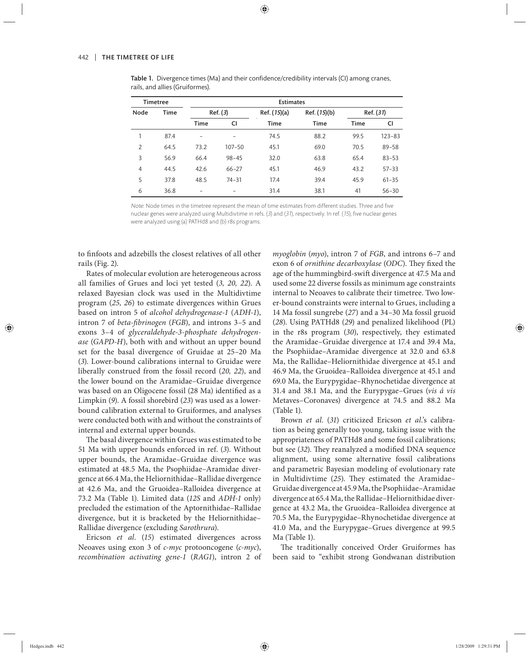| <b>Timetree</b> |             | <b>Estimates</b>         |            |              |              |             |            |
|-----------------|-------------|--------------------------|------------|--------------|--------------|-------------|------------|
| Node            | <b>Time</b> | Ref. (3)                 |            | Ref. (15)(a) | Ref. (15)(b) | Ref. (31)   |            |
|                 |             | <b>Time</b>              | CI         | <b>Time</b>  | Time         | <b>Time</b> | CI         |
| 1               | 87.4        | $\overline{\phantom{0}}$ |            | 74.5         | 88.2         | 99.5        | $123 - 83$ |
| $\overline{2}$  | 64.5        | 73.2                     | $107 - 50$ | 45.1         | 69.0         | 70.5        | $89 - 58$  |
| 3               | 56.9        | 66.4                     | $98 - 45$  | 32.0         | 63.8         | 65.4        | $83 - 53$  |
| $\overline{4}$  | 44.5        | 42.6                     | $66 - 27$  | 45.1         | 46.9         | 43.2        | $57 - 33$  |
| 5               | 37.8        | 48.5                     | $74 - 31$  | 17.4         | 39.4         | 45.9        | $61 - 35$  |
| 6               | 36.8        |                          |            | 31.4         | 38.1         | 41          | $56 - 30$  |

Table 1. Divergence times (Ma) and their confidence/credibility intervals (CI) among cranes, rails, and allies (Gruiformes).

Note: Node times in the timetree represent the mean of time estimates from different studies. Three and five nuclear genes were analyzed using Multidivtime in refs.  $(3)$  and  $(31)$ , respectively. In ref.  $(15)$ , five nuclear genes were analyzed using (a) PATHd8 and (b) r8s programs.

to finfoots and adzebills the closest relatives of all other rails (Fig. 2).

Rates of molecular evolution are heterogeneous across all families of Grues and loci yet tested (*3, 20, 22*). A relaxed Bayesian clock was used in the Multidivtime program (*25, 26*) to estimate divergences within Grues based on intron 5 of *alcohol dehydrogenase-1* (*ADH-1*), intron 7 of *beta-fibrinogen* (*FGB*), and introns 3-5 and exons 3–4 of *glyceraldehyde-3-phosphate dehydrogenase* (*GAPD-H*), both with and without an upper bound set for the basal divergence of Gruidae at 25–20 Ma (*3*). Lower-bound calibrations internal to Gruidae were liberally construed from the fossil record (*20, 22*), and the lower bound on the Aramidae–Gruidae divergence was based on an Oligocene fossil (28 Ma) identified as a Limpkin (*9*). A fossil shorebird (*23*) was used as a lowerbound calibration external to Gruiformes, and analyses were conducted both with and without the constraints of internal and external upper bounds.

The basal divergence within Grues was estimated to be 51 Ma with upper bounds enforced in ref. (3). Without upper bounds, the Aramidae–Gruidae divergence was estimated at 48.5 Ma, the Psophiidae–Aramidae divergence at 66.4 Ma, the Heliornithidae–Rallidae divergence at 42.6 Ma, and the Gruoidea–Ralloidea divergence at 73.2 Ma (Table 1). Limited data (*12S* and *ADH-1* only) precluded the estimation of the Aptornithidae–Rallidae divergence, but it is bracketed by the Heliornithidae– Rallidae divergence (excluding *Sarothrura*).

Ericson *et al*. (*15*) estimated divergences across Neoaves using exon 3 of *c-myc* protooncogene (*c-myc*), *recombination activating gene-1* (*RAG1*), intron 2 of *myoglobin* (*myo*), intron 7 of *FGB*, and introns 6–7 and exon 6 of *ornithine decarboxylase* (ODC). They fixed the age of the hummingbird-swift divergence at 47.5 Ma and used some 22 diverse fossils as minimum age constraints internal to Neoaves to calibrate their timetree. Two lower-bound constraints were internal to Grues, including a 14 Ma fossil sungrebe (*27*) and a 34–30 Ma fossil gruoid (*28*). Using PATHd8 (*29*) and penalized likelihood (PL) in the r8s program (*30*), respectively, they estimated the Aramidae–Gruidae divergence at 17.4 and 39.4 Ma, the Psophiidae–Aramidae divergence at 32.0 and 63.8 Ma, the Rallidae–Heliornithidae divergence at 45.1 and 46.9 Ma, the Gruoidea–Ralloidea divergence at 45.1 and 69.0 Ma, the Eurypygidae–Rhynochetidae divergence at 31.4 and 38.1 Ma, and the Eurypygae–Grues (*vis á vis* Metaves–Coronaves) divergence at 74.5 and 88.2 Ma (Table 1).

Brown *et al*. (*31*) criticized Ericson *et al*.'s calibration as being generally too young, taking issue with the appropriateness of PATHd8 and some fossil calibrations; but see (32). They reanalyzed a modified DNA sequence alignment, using some alternative fossil calibrations and parametric Bayesian modeling of evolutionary rate in Multidivtime (25). They estimated the Aramidae– Gruidae divergence at 45.9 Ma, the Psophiidae–Aramidae divergence at 65.4 Ma, the Rallidae–Heliornithidae divergence at 43.2 Ma, the Gruoidea–Ralloidea divergence at 70.5 Ma, the Eurypygidae–Rhynochetidae divergence at 41.0 Ma, and the Eurypygae–Grues divergence at 99.5 Ma (Table 1).

The traditionally conceived Order Gruiformes has been said to "exhibit strong Gondwanan distribution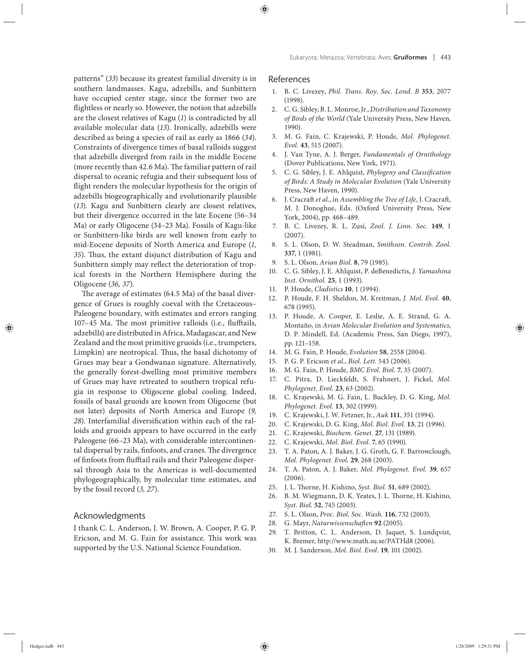patterns" (*33*) because its greatest familial diversity is in southern landmasses. Kagu, adzebills, and Sunbittern have occupied center stage, since the former two are flightless or nearly so. However, the notion that adzebills are the closest relatives of Kagu (*1*) is contradicted by all available molecular data (*13*). Ironically, adzebills were described as being a species of rail as early as 1866 (*34*). Constraints of divergence times of basal ralloids suggest that adzebills diverged from rails in the middle Eocene (more recently than  $42.6$  Ma). The familiar pattern of rail dispersal to oceanic refugia and their subsequent loss of flight renders the molecular hypothesis for the origin of adzebills biogeographically and evolutionarily plausible (13). Kagu and Sunbittern clearly are closest relatives, but their divergence occurred in the late Eocene (56–34 Ma) or early Oligocene (34–23 Ma). Fossils of Kagu-like or Sunbittern-like birds are well known from early to mid-Eocene deposits of North America and Europe (*1, 35*). Thus, the extant disjunct distribution of Kagu and Sunbittern simply may reflect the deterioration of tropical forests in the Northern Hemisphere during the Oligocene (*36, 37*).

The average of estimates  $(64.5 \text{ Ma})$  of the basal divergence of Grues is roughly coeval with the Cretaceous-Paleogene boundary, with estimates and errors ranging 107-45 Ma. The most primitive ralloids (i.e., flufftails, adzebills) are distributed in Africa, Madagascar, and New Zealand and the most primitive gruoids (i.e., trumpeters, Limpkin) are neotropical. Thus, the basal dichotomy of Grues may bear a Gondwanan signature. Alternatively, the generally forest-dwelling most primitive members of Grues may have retreated to southern tropical refugia in response to Oligocene global cooling. Indeed, fossils of basal gruoids are known from Oligocene (but not later) deposits of North America and Europe (*9,*  28). Interfamilial diversification within each of the ralloids and gruoids appears to have occurred in the early Paleogene (66–23 Ma), with considerable intercontinental dispersal by rails, finfoots, and cranes. The divergence of finfoots from flufftail rails and their Paleogene dispersal through Asia to the Americas is well-documented phylogeographically, by molecular time estimates, and by the fossil record (*3, 27*).

#### Acknowledgments

I thank C. L. Anderson, J. W. Brown, A. Cooper, P. G. P. Ericson, and M. G. Fain for assistance. This work was supported by the U.S. National Science Foundation.

#### References

- 1. B. C. Livezey, *Phil. Trans. Roy. Soc. Lond. B* **353**, 2077 (1998).
- 2. C. G. Sibley, B. L. Monroe, Jr., *Distribution and Taxonomy of Birds of the World* (Yale University Press, New Haven, 1990).
- 3. M. G. Fain, C. Krajewski, P. Houde, *Mol. Phylogenet. Evol.* **43**, 515 (2007).
- 4. J. Van Tyne, A. J. Berger, *Fundamentals of Ornithology* (Dover Publications, New York, 1971).
- 5. C. G. Sibley, J. E. Ahlquist, *Phylogeny and Classification of Birds: A Study in Molecular Evolution* (Yale University Press, New Haven, 1990).
- 6. J. Cracraft et al., in Assembling the Tree of Life, J. Cracraft, M. J. Donoghue, Eds. (Oxford University Press, New York, 2004), pp. 468–489.
- 7. B. C. Livezey, R. L. Zusi, *Zool. J. Linn. Soc.* **149**, 1 (2007).
- 8. S. L. Olson, D. W. Steadman, *Smithson. Contrib. Zool.* **337**, 1 (1981).
- 9. S. L. Olson, *Avian Biol.* **8**, 79 (1985).
- 10. C. G. Sibley, J. E. Ahlquist, P. deBenedictis, *J. Yamashina Inst. Ornithol.* **25**, 1 (1993).
- 11. P. Houde, *Cladistics* **10**, 1 (1994).
- 12. P. Houde, F. H. Sheldon, M. Kreitman, *J. Mol. Evol.* **40**, 678 (1995).
- 13. P. Houde, A. Cooper, E. Leslie, A. E. Strand, G. A. Montaño, in *Avian Molecular Evolution and Systematics*, D. P. Mindell, Ed. (Academic Press, San Diego, 1997), pp. 121–158.
- 14. M. G. Fain, P. Houde, *Evolution* **58**, 2558 (2004).
- 15. P. G. P. Ericson *et al.*, *Biol. Lett.* 543 (2006).
- 16. M. G. Fain, P. Houde, *BMC Evol. Biol.* **7**, 35 (2007).
- 17. C. Pitra, D. Lieckfeldt, S. Frahnert, J. Fickel, *Mol. Phylogenet. Evol.* **23**, 63 (2002).
- 18. C. Krajewski, M. G. Fain, L. Buckley, D. G. King, *Mol. Phylogenet. Evol.* **13**, 302 (1999).
- 19. C. Krajewski, J. W. Fetzner, Jr., *Auk* **111**, 351 (1994).
- 20. C. Krajewski, D. G. King, *Mol. Biol. Evol.* **13**, 21 (1996).
- 21. C. Krajewski, *Biochem. Genet.* **27**, 131 (1989).
- 22. C. Krajewski, *Mol. Biol. Evol.* **7**, 65 (1990).
- 23. T. A. Paton, A. J. Baker, J. G. Groth, G. F. Barrowclough, *Mol. Phylogenet. Evol.* **29**, 268 (2003).
- 24. T. A. Paton, A. J. Baker, *Mol. Phylogenet. Evol.* **39**, 657 (2006).
- 25. J. L. Thorne, H. Kishino, *Syst. Biol.* **51**, 689 (2002).
- 26. B. M. Wiegmann, D. K. Yeates, J. L. Thorne, H. Kishino, *Syst. Biol.* **52**, 745 (2003).
- 27. S. L. Olson, *Proc. Biol. Soc. Wash.* **116**, 732 (2003).
- 28. G. Mayr, *Naturwissenschaften* 92 (2005).
- 29. T. Britton, C. L. Anderson, D. Jaquet, S. Lundqvist, K. Bremer, http://www.math.su.se/PATHd8 (2006).
- 30. M. J. Sanderson, *Mol. Biol. Evol.* **19**, 101 (2002).